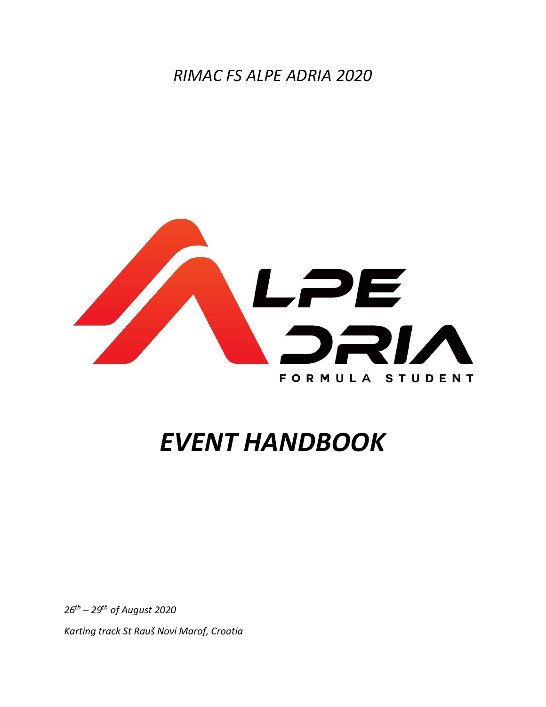*RIMAC FS ALPE ADRIA 2020*



# *EVENT HANDBOOK*

*26th – 29th of August 2020 Karting track St Rauš Novi Marof, Croatia*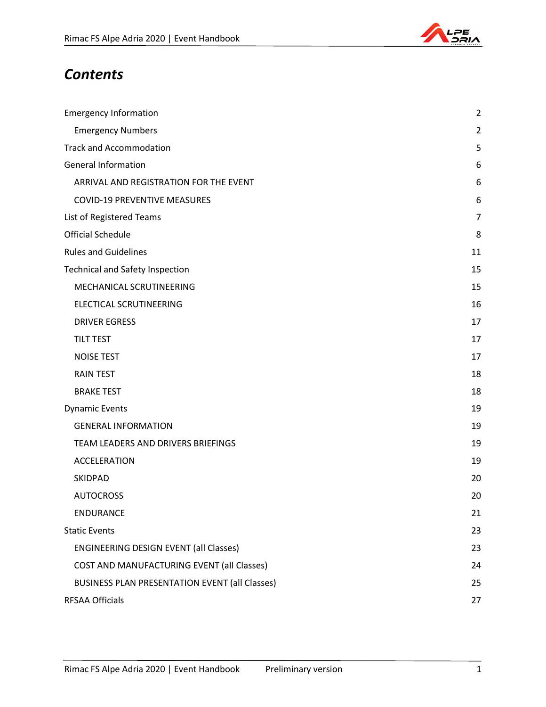

### *Contents*

| <b>Emergency Information</b>                          | $\overline{2}$ |
|-------------------------------------------------------|----------------|
| <b>Emergency Numbers</b>                              | $\overline{2}$ |
| <b>Track and Accommodation</b>                        | 5              |
| <b>General Information</b>                            | 6              |
| ARRIVAL AND REGISTRATION FOR THE EVENT                | 6              |
| <b>COVID-19 PREVENTIVE MEASURES</b>                   | 6              |
| List of Registered Teams                              | 7              |
| <b>Official Schedule</b>                              | 8              |
| <b>Rules and Guidelines</b>                           | 11             |
| <b>Technical and Safety Inspection</b>                | 15             |
| MECHANICAL SCRUTINEERING                              | 15             |
| ELECTICAL SCRUTINEERING                               | 16             |
| <b>DRIVER EGRESS</b>                                  | 17             |
| <b>TILT TEST</b>                                      | 17             |
| <b>NOISE TEST</b>                                     | 17             |
| <b>RAIN TEST</b>                                      | 18             |
| <b>BRAKE TEST</b>                                     | 18             |
| <b>Dynamic Events</b>                                 | 19             |
| <b>GENERAL INFORMATION</b>                            | 19             |
| TEAM LEADERS AND DRIVERS BRIEFINGS                    | 19             |
| <b>ACCELERATION</b>                                   | 19             |
| SKIDPAD                                               | 20             |
| <b>AUTOCROSS</b>                                      | 20             |
| <b>ENDURANCE</b>                                      | 21             |
| <b>Static Events</b>                                  | 23             |
| <b>ENGINEERING DESIGN EVENT (all Classes)</b>         | 23             |
| COST AND MANUFACTURING EVENT (all Classes)            | 24             |
| <b>BUSINESS PLAN PRESENTATION EVENT (all Classes)</b> | 25             |
| <b>RFSAA Officials</b>                                | 27             |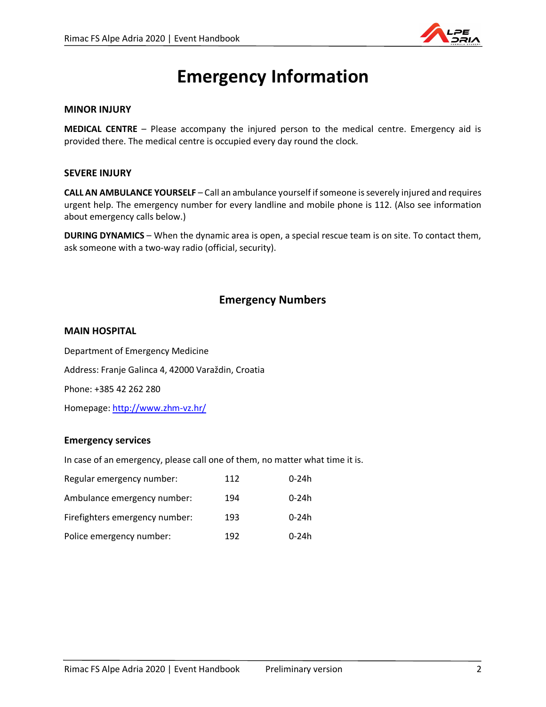

### **Emergency Information**

#### <span id="page-2-0"></span>**MINOR INJURY**

**MEDICAL CENTRE** – Please accompany the injured person to the medical centre. Emergency aid is provided there. The medical centre is occupied every day round the clock.

#### **SEVERE INJURY**

**CALL AN AMBULANCE YOURSELF** – Call an ambulance yourself if someone is severely injured and requires urgent help. The emergency number for every landline and mobile phone is 112. (Also see information about emergency calls below.)

**DURING DYNAMICS** – When the dynamic area is open, a special rescue team is on site. To contact them, ask someone with a two-way radio (official, security).

#### **Emergency Numbers**

#### <span id="page-2-1"></span>**MAIN HOSPITAL**

Department of Emergency Medicine Address: Franje Galinca 4, 42000 Varaždin, Croatia Phone: +385 42 262 280 Homepage:<http://www.zhm-vz.hr/>

#### **Emergency services**

In case of an emergency, please call one of them, no matter what time it is.

| Regular emergency number:      | 112 | 0-24h |
|--------------------------------|-----|-------|
| Ambulance emergency number:    | 194 | 0-24h |
| Firefighters emergency number: | 193 | 0-24h |
| Police emergency number:       | 192 | 0-24h |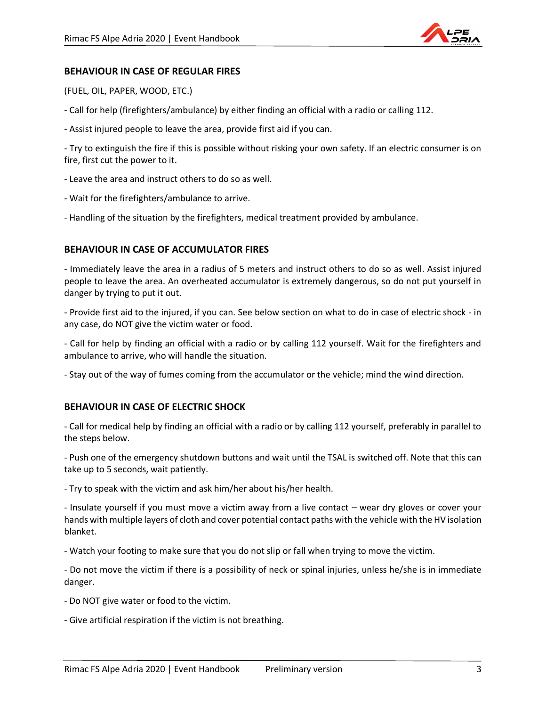

#### **BEHAVIOUR IN CASE OF REGULAR FIRES**

(FUEL, OIL, PAPER, WOOD, ETC.)

- Call for help (firefighters/ambulance) by either finding an official with a radio or calling 112.
- Assist injured people to leave the area, provide first aid if you can.

- Try to extinguish the fire if this is possible without risking your own safety. If an electric consumer is on fire, first cut the power to it.

- Leave the area and instruct others to do so as well.
- Wait for the firefighters/ambulance to arrive.
- Handling of the situation by the firefighters, medical treatment provided by ambulance.

#### **BEHAVIOUR IN CASE OF ACCUMULATOR FIRES**

- Immediately leave the area in a radius of 5 meters and instruct others to do so as well. Assist injured people to leave the area. An overheated accumulator is extremely dangerous, so do not put yourself in danger by trying to put it out.

- Provide first aid to the injured, if you can. See below section on what to do in case of electric shock - in any case, do NOT give the victim water or food.

- Call for help by finding an official with a radio or by calling 112 yourself. Wait for the firefighters and ambulance to arrive, who will handle the situation.

- Stay out of the way of fumes coming from the accumulator or the vehicle; mind the wind direction.

#### **BEHAVIOUR IN CASE OF ELECTRIC SHOCK**

- Call for medical help by finding an official with a radio or by calling 112 yourself, preferably in parallel to the steps below.

- Push one of the emergency shutdown buttons and wait until the TSAL is switched off. Note that this can take up to 5 seconds, wait patiently.

- Try to speak with the victim and ask him/her about his/her health.

- Insulate yourself if you must move a victim away from a live contact – wear dry gloves or cover your hands with multiple layers of cloth and cover potential contact paths with the vehicle with the HV isolation blanket.

- Watch your footing to make sure that you do not slip or fall when trying to move the victim.

- Do not move the victim if there is a possibility of neck or spinal injuries, unless he/she is in immediate danger.

- Do NOT give water or food to the victim.
- Give artificial respiration if the victim is not breathing.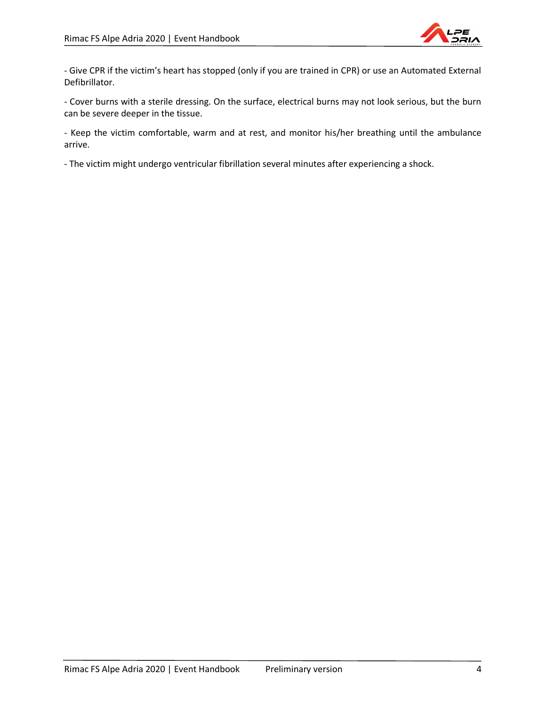

- Give CPR if the victim's heart has stopped (only if you are trained in CPR) or use an Automated External Defibrillator.

- Cover burns with a sterile dressing. On the surface, electrical burns may not look serious, but the burn can be severe deeper in the tissue.

- Keep the victim comfortable, warm and at rest, and monitor his/her breathing until the ambulance arrive.

- The victim might undergo ventricular fibrillation several minutes after experiencing a shock.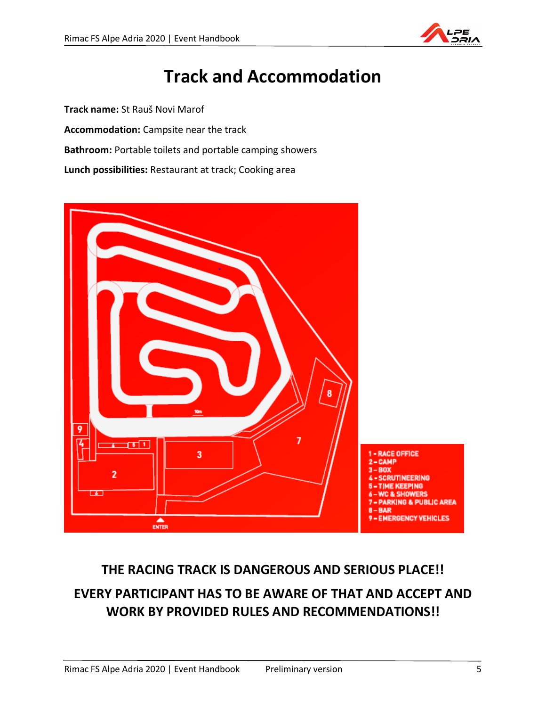

## **Track and Accommodation**

<span id="page-5-0"></span>**Track name:** St Rauš Novi Marof **Accommodation:** Campsite near the track **Bathroom:** Portable toilets and portable camping showers **Lunch possibilities:** Restaurant at track; Cooking area



### **THE RACING TRACK IS DANGEROUS AND SERIOUS PLACE!!**

### **EVERY PARTICIPANT HAS TO BE AWARE OF THAT AND ACCEPT AND WORK BY PROVIDED RULES AND RECOMMENDATIONS!!**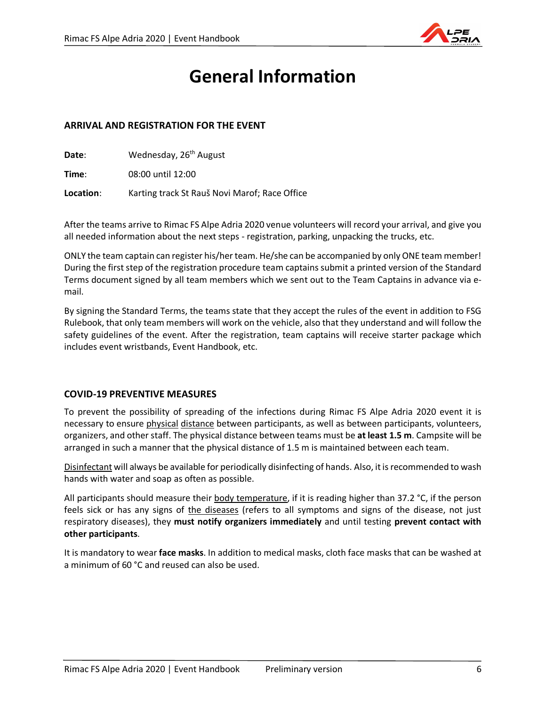

### **General Information**

#### <span id="page-6-1"></span><span id="page-6-0"></span>**ARRIVAL AND REGISTRATION FOR THE EVENT**

**Date**: Wednesday, 26<sup>th</sup> August

**Time**: 08:00 until 12:00

**Location**: Karting track St Rauš Novi Marof; Race Office

After the teams arrive to Rimac FS Alpe Adria 2020 venue volunteers will record your arrival, and give you all needed information about the next steps - registration, parking, unpacking the trucks, etc.

ONLY the team captain can register his/her team. He/she can be accompanied by only ONE team member! During the first step of the registration procedure team captains submit a printed version of the Standard Terms document signed by all team members which we sent out to the Team Captains in advance via email.

By signing the Standard Terms, the teams state that they accept the rules of the event in addition to FSG Rulebook, that only team members will work on the vehicle, also that they understand and will follow the safety guidelines of the event. After the registration, team captains will receive starter package which includes event wristbands, Event Handbook, etc.

#### <span id="page-6-2"></span>**COVID-19 PREVENTIVE MEASURES**

To prevent the possibility of spreading of the infections during Rimac FS Alpe Adria 2020 event it is necessary to ensure physical distance between participants, as well as between participants, volunteers, organizers, and other staff. The physical distance between teams must be **at least 1.5 m**. Campsite will be arranged in such a manner that the physical distance of 1.5 m is maintained between each team.

Disinfectant will always be available for periodically disinfecting of hands. Also, it is recommended to wash hands with water and soap as often as possible.

All participants should measure their body temperature, if it is reading higher than 37.2 °C, if the person feels sick or has any signs of the diseases (refers to all symptoms and signs of the disease, not just respiratory diseases), they **must notify organizers immediately** and until testing **prevent contact with other participants**.

It is mandatory to wear **face masks**. In addition to medical masks, cloth face masks that can be washed at a minimum of 60 °C and reused can also be used.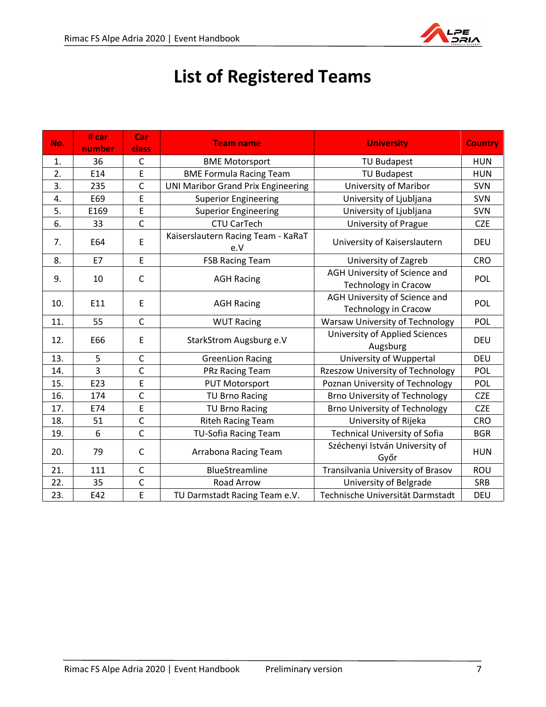

## **List of Registered Teams**

<span id="page-7-0"></span>

| No. | # car<br>number | Car<br>class | <b>Team name</b>                          | <b>University</b>                          | <b>Country</b> |
|-----|-----------------|--------------|-------------------------------------------|--------------------------------------------|----------------|
| 1.  | 36              | $\mathsf{C}$ | <b>BME Motorsport</b>                     | <b>TU Budapest</b>                         | <b>HUN</b>     |
| 2.  | E14             | E            | <b>BME Formula Racing Team</b>            | <b>TU Budapest</b>                         | <b>HUN</b>     |
| 3.  | 235             | $\mathsf C$  | <b>UNI Maribor Grand Prix Engineering</b> | University of Maribor                      | <b>SVN</b>     |
| 4.  | E69             | E            | <b>Superior Engineering</b>               | University of Ljubljana                    | SVN            |
| 5.  | E169            | $\mathsf E$  | <b>Superior Engineering</b>               | University of Ljubljana                    | SVN            |
| 6.  | 33              | $\mathsf{C}$ | <b>CTU CarTech</b>                        | University of Prague                       | <b>CZE</b>     |
| 7.  | E64             | E            | Kaiserslautern Racing Team - KaRaT<br>e.V | University of Kaiserslautern               | <b>DEU</b>     |
| 8.  | E7              | $\mathsf E$  | <b>FSB Racing Team</b>                    | University of Zagreb                       | CRO            |
| 9.  | 10              | $\mathsf{C}$ | <b>AGH Racing</b>                         | AGH University of Science and              | POL            |
|     |                 |              |                                           | Technology in Cracow                       |                |
| 10. | E11             | E            | <b>AGH Racing</b>                         | AGH University of Science and              | POL            |
|     |                 |              |                                           | <b>Technology in Cracow</b>                |                |
| 11. | 55              | $\mathsf{C}$ | <b>WUT Racing</b>                         | Warsaw University of Technology            | POL            |
| 12. | E66             | $\mathsf E$  | StarkStrom Augsburg e.V                   | University of Applied Sciences<br>Augsburg | <b>DEU</b>     |
| 13. | 5               | $\mathsf C$  | <b>GreenLion Racing</b>                   | University of Wuppertal                    | <b>DEU</b>     |
| 14. | 3               | $\mathsf C$  | PRz Racing Team                           | <b>Rzeszow University of Technology</b>    | <b>POL</b>     |
| 15. | E23             | E            | <b>PUT Motorsport</b>                     | Poznan University of Technology            | <b>POL</b>     |
| 16. | 174             | $\mathsf{C}$ | <b>TU Brno Racing</b>                     | <b>Brno University of Technology</b>       | <b>CZE</b>     |
| 17. | E74             | E            | <b>TU Brno Racing</b>                     | <b>Brno University of Technology</b>       | <b>CZE</b>     |
| 18. | 51              | $\mathsf{C}$ | <b>Riteh Racing Team</b>                  | University of Rijeka                       | <b>CRO</b>     |
| 19. | 6               | $\mathsf{C}$ | TU-Sofia Racing Team                      | <b>Technical University of Sofia</b>       | <b>BGR</b>     |
| 20. | 79              | C            | Arrabona Racing Team                      | Széchenyi István University of<br>Győr     | <b>HUN</b>     |
| 21. | 111             | $\mathsf C$  | BlueStreamline                            | Transilvania University of Brasov          | <b>ROU</b>     |
| 22. | 35              | $\mathsf{C}$ | <b>Road Arrow</b>                         | University of Belgrade                     | <b>SRB</b>     |
| 23. | E42             | E            | TU Darmstadt Racing Team e.V.             | Technische Universität Darmstadt           | <b>DEU</b>     |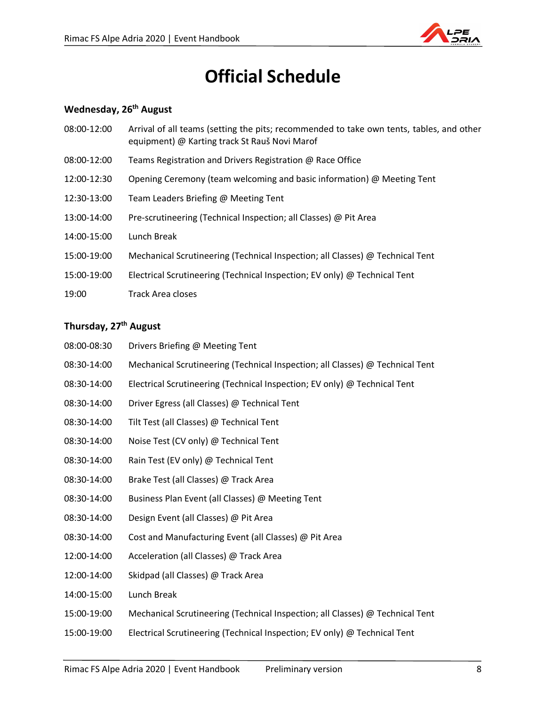

### **Official Schedule**

#### <span id="page-8-0"></span>**Wednesday, 26 th August**

- 08:00-12:00 Arrival of all teams (setting the pits; recommended to take own tents, tables, and other equipment) @ Karting track St Rauš Novi Marof
- 08:00-12:00 Teams Registration and Drivers Registration @ Race Office
- 12:00-12:30 Opening Ceremony (team welcoming and basic information) @ Meeting Tent
- 12:30-13:00 Team Leaders Briefing @ Meeting Tent
- 13:00-14:00 Pre-scrutineering (Technical Inspection; all Classes) @ Pit Area
- 14:00-15:00 Lunch Break
- 15:00-19:00 Mechanical Scrutineering (Technical Inspection; all Classes) @ Technical Tent
- 15:00-19:00 Electrical Scrutineering (Technical Inspection; EV only) @ Technical Tent
- 19:00 Track Area closes

#### **Thursday, 27th August**

- 08:00-08:30 Drivers Briefing @ Meeting Tent
- 08:30-14:00 Mechanical Scrutineering (Technical Inspection; all Classes) @ Technical Tent
- 08:30-14:00 Electrical Scrutineering (Technical Inspection; EV only) @ Technical Tent
- 08:30-14:00 Driver Egress (all Classes) @ Technical Tent
- 08:30-14:00 Tilt Test (all Classes) @ Technical Tent
- 08:30-14:00 Noise Test (CV only) @ Technical Tent
- 08:30-14:00 Rain Test (EV only) @ Technical Tent
- 08:30-14:00 Brake Test (all Classes) @ Track Area
- 08:30-14:00 Business Plan Event (all Classes) @ Meeting Tent
- 08:30-14:00 Design Event (all Classes) @ Pit Area
- 08:30-14:00 Cost and Manufacturing Event (all Classes) @ Pit Area
- 12:00-14:00 Acceleration (all Classes) @ Track Area
- 12:00-14:00 Skidpad (all Classes) @ Track Area
- 14:00-15:00 Lunch Break
- 15:00-19:00 Mechanical Scrutineering (Technical Inspection; all Classes) @ Technical Tent
- 15:00-19:00 Electrical Scrutineering (Technical Inspection; EV only) @ Technical Tent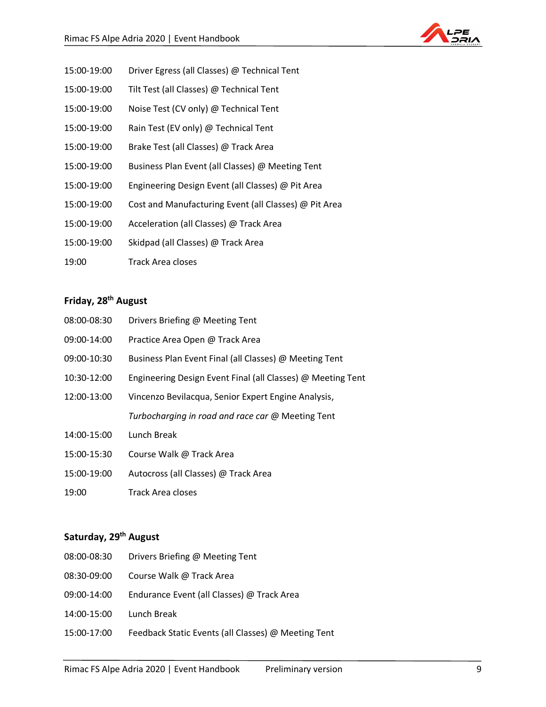

- 15:00-19:00 Driver Egress (all Classes) @ Technical Tent
- 15:00-19:00 Tilt Test (all Classes) @ Technical Tent
- 15:00-19:00 Noise Test (CV only) @ Technical Tent
- 15:00-19:00 Rain Test (EV only) @ Technical Tent
- 15:00-19:00 Brake Test (all Classes) @ Track Area
- 15:00-19:00 Business Plan Event (all Classes) @ Meeting Tent
- 15:00-19:00 Engineering Design Event (all Classes) @ Pit Area
- 15:00-19:00 Cost and Manufacturing Event (all Classes) @ Pit Area
- 15:00-19:00 Acceleration (all Classes) @ Track Area
- 15:00-19:00 Skidpad (all Classes) @ Track Area
- 19:00 Track Area closes

#### **Friday, 28th August**

- 08:00-08:30 Drivers Briefing @ Meeting Tent
- 09:00-14:00 Practice Area Open @ Track Area
- 09:00-10:30 Business Plan Event Final (all Classes) @ Meeting Tent
- 10:30-12:00 Engineering Design Event Final (all Classes) @ Meeting Tent
- 12:00-13:00 Vincenzo Bevilacqua, Senior Expert Engine Analysis, *Turbocharging in road and race car* @ Meeting Tent
- 14:00-15:00 Lunch Break
- 15:00-15:30 Course Walk @ Track Area
- 15:00-19:00 Autocross (all Classes) @ Track Area
- 19:00 Track Area closes

#### **Saturday, 29th August**

- 08:00-08:30 Drivers Briefing @ Meeting Tent
- 08:30-09:00 Course Walk @ Track Area
- 09:00-14:00 Endurance Event (all Classes) @ Track Area
- 14:00-15:00 Lunch Break
- 15:00-17:00 Feedback Static Events (all Classes) @ Meeting Tent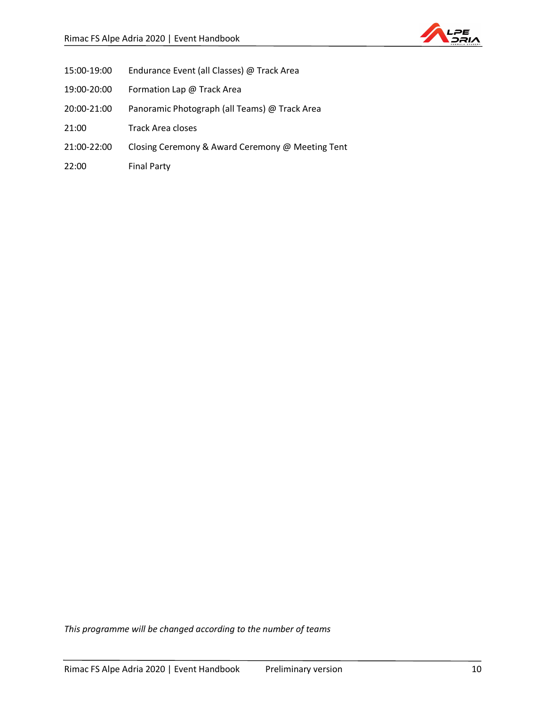

- 15:00-19:00 Endurance Event (all Classes) @ Track Area
- 19:00-20:00 Formation Lap @ Track Area
- 20:00-21:00 Panoramic Photograph (all Teams) @ Track Area
- 21:00 Track Area closes
- 21:00-22:00 Closing Ceremony & Award Ceremony @ Meeting Tent
- 22:00 Final Party

*This programme will be changed according to the number of teams*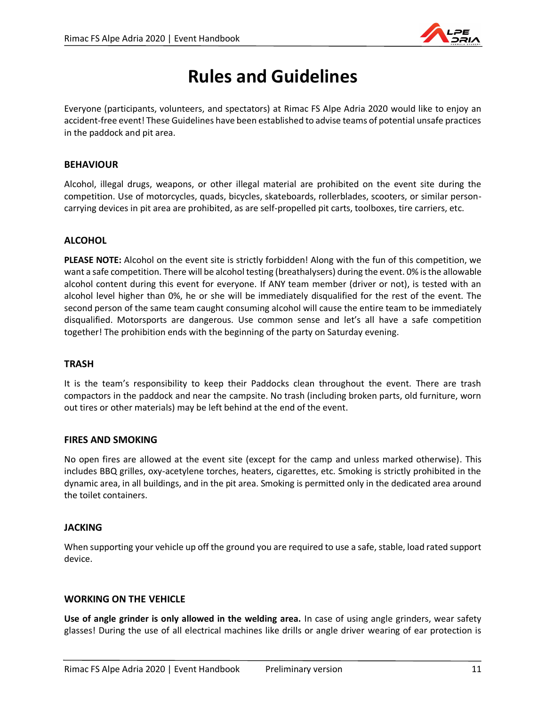

### **Rules and Guidelines**

<span id="page-11-0"></span>Everyone (participants, volunteers, and spectators) at Rimac FS Alpe Adria 2020 would like to enjoy an accident-free event! These Guidelines have been established to advise teams of potential unsafe practices in the paddock and pit area.

#### **BEHAVIOUR**

Alcohol, illegal drugs, weapons, or other illegal material are prohibited on the event site during the competition. Use of motorcycles, quads, bicycles, skateboards, rollerblades, scooters, or similar personcarrying devices in pit area are prohibited, as are self-propelled pit carts, toolboxes, tire carriers, etc.

#### **ALCOHOL**

**PLEASE NOTE:** Alcohol on the event site is strictly forbidden! Along with the fun of this competition, we want a safe competition. There will be alcohol testing (breathalysers) during the event. 0% is the allowable alcohol content during this event for everyone. If ANY team member (driver or not), is tested with an alcohol level higher than 0%, he or she will be immediately disqualified for the rest of the event. The second person of the same team caught consuming alcohol will cause the entire team to be immediately disqualified. Motorsports are dangerous. Use common sense and let's all have a safe competition together! The prohibition ends with the beginning of the party on Saturday evening.

#### **TRASH**

It is the team's responsibility to keep their Paddocks clean throughout the event. There are trash compactors in the paddock and near the campsite. No trash (including broken parts, old furniture, worn out tires or other materials) may be left behind at the end of the event.

#### **FIRES AND SMOKING**

No open fires are allowed at the event site (except for the camp and unless marked otherwise). This includes BBQ grilles, oxy-acetylene torches, heaters, cigarettes, etc. Smoking is strictly prohibited in the dynamic area, in all buildings, and in the pit area. Smoking is permitted only in the dedicated area around the toilet containers.

#### **JACKING**

When supporting your vehicle up off the ground you are required to use a safe, stable, load rated support device.

#### **WORKING ON THE VEHICLE**

**Use of angle grinder is only allowed in the welding area.** In case of using angle grinders, wear safety glasses! During the use of all electrical machines like drills or angle driver wearing of ear protection is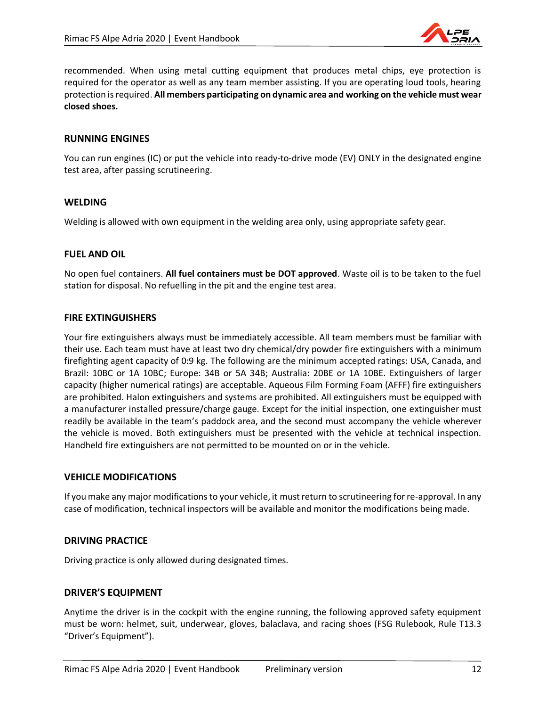

recommended. When using metal cutting equipment that produces metal chips, eye protection is required for the operator as well as any team member assisting. If you are operating loud tools, hearing protection is required. **All members participating on dynamic area and working on the vehicle must wear closed shoes.**

#### **RUNNING ENGINES**

You can run engines (IC) or put the vehicle into ready-to-drive mode (EV) ONLY in the designated engine test area, after passing scrutineering.

#### **WELDING**

Welding is allowed with own equipment in the welding area only, using appropriate safety gear.

#### **FUEL AND OIL**

No open fuel containers. **All fuel containers must be DOT approved**. Waste oil is to be taken to the fuel station for disposal. No refuelling in the pit and the engine test area.

#### **FIRE EXTINGUISHERS**

Your fire extinguishers always must be immediately accessible. All team members must be familiar with their use. Each team must have at least two dry chemical/dry powder fire extinguishers with a minimum firefighting agent capacity of 0:9 kg. The following are the minimum accepted ratings: USA, Canada, and Brazil: 10BC or 1A 10BC; Europe: 34B or 5A 34B; Australia: 20BE or 1A 10BE. Extinguishers of larger capacity (higher numerical ratings) are acceptable. Aqueous Film Forming Foam (AFFF) fire extinguishers are prohibited. Halon extinguishers and systems are prohibited. All extinguishers must be equipped with a manufacturer installed pressure/charge gauge. Except for the initial inspection, one extinguisher must readily be available in the team's paddock area, and the second must accompany the vehicle wherever the vehicle is moved. Both extinguishers must be presented with the vehicle at technical inspection. Handheld fire extinguishers are not permitted to be mounted on or in the vehicle.

#### **VEHICLE MODIFICATIONS**

If you make any major modifications to your vehicle, it must return to scrutineering for re-approval. In any case of modification, technical inspectors will be available and monitor the modifications being made.

#### **DRIVING PRACTICE**

Driving practice is only allowed during designated times.

#### **DRIVER'S EQUIPMENT**

Anytime the driver is in the cockpit with the engine running, the following approved safety equipment must be worn: helmet, suit, underwear, gloves, balaclava, and racing shoes (FSG Rulebook, Rule T13.3 "Driver's Equipment").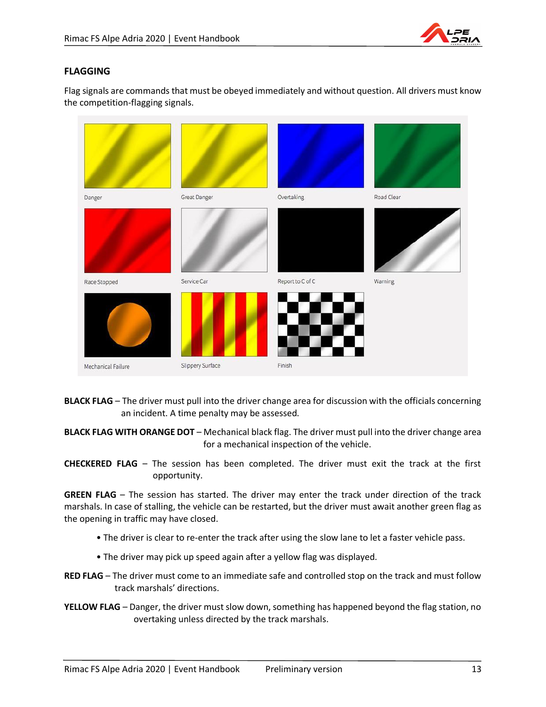

#### **FLAGGING**

Flag signals are commands that must be obeyed immediately and without question. All drivers must know the competition-flagging signals.



- **BLACK FLAG** The driver must pull into the driver change area for discussion with the officials concerning an incident. A time penalty may be assessed.
- **BLACK FLAG WITH ORANGE DOT** Mechanical black flag. The driver must pull into the driver change area for a mechanical inspection of the vehicle.
- **CHECKERED FLAG** The session has been completed. The driver must exit the track at the first opportunity.

**GREEN FLAG** – The session has started. The driver may enter the track under direction of the track marshals. In case of stalling, the vehicle can be restarted, but the driver must await another green flag as the opening in traffic may have closed.

- The driver is clear to re-enter the track after using the slow lane to let a faster vehicle pass.
- The driver may pick up speed again after a yellow flag was displayed.
- **RED FLAG** The driver must come to an immediate safe and controlled stop on the track and must follow track marshals' directions.
- **YELLOW FLAG** Danger, the driver must slow down, something has happened beyond the flag station, no overtaking unless directed by the track marshals.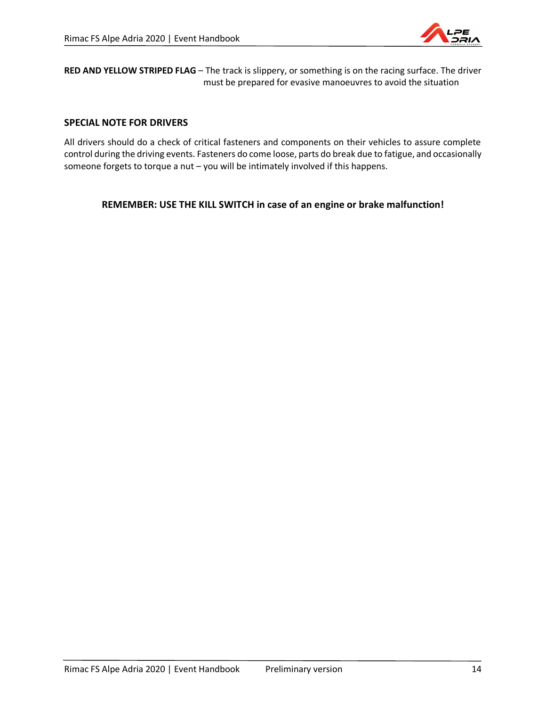

**RED AND YELLOW STRIPED FLAG** – The track is slippery, or something is on the racing surface. The driver must be prepared for evasive manoeuvres to avoid the situation

#### **SPECIAL NOTE FOR DRIVERS**

All drivers should do a check of critical fasteners and components on their vehicles to assure complete control during the driving events. Fasteners do come loose, parts do break due to fatigue, and occasionally someone forgets to torque a nut – you will be intimately involved if this happens.

#### **REMEMBER: USE THE KILL SWITCH in case of an engine or brake malfunction!**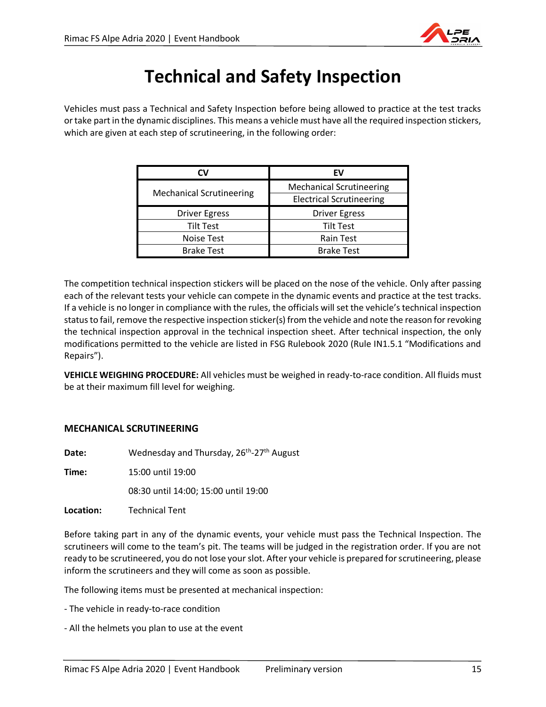

### **Technical and Safety Inspection**

<span id="page-15-0"></span>Vehicles must pass a Technical and Safety Inspection before being allowed to practice at the test tracks or take part in the dynamic disciplines. This means a vehicle must have all the required inspection stickers, which are given at each step of scrutineering, in the following order:

|                                 | FV                              |
|---------------------------------|---------------------------------|
|                                 | <b>Mechanical Scrutineering</b> |
| <b>Mechanical Scrutineering</b> | <b>Electrical Scrutineering</b> |
| <b>Driver Egress</b>            | <b>Driver Egress</b>            |
| <b>Tilt Test</b>                | <b>Tilt Test</b>                |
| <b>Noise Test</b>               | Rain Test                       |
| <b>Brake Test</b>               | <b>Brake Test</b>               |

The competition technical inspection stickers will be placed on the nose of the vehicle. Only after passing each of the relevant tests your vehicle can compete in the dynamic events and practice at the test tracks. If a vehicle is no longer in compliance with the rules, the officials will set the vehicle's technical inspection status to fail, remove the respective inspection sticker(s) from the vehicle and note the reason for revoking the technical inspection approval in the technical inspection sheet. After technical inspection, the only modifications permitted to the vehicle are listed in FSG Rulebook 2020 (Rule IN1.5.1 "Modifications and Repairs").

**VEHICLE WEIGHING PROCEDURE:** All vehicles must be weighed in ready-to-race condition. All fluids must be at their maximum fill level for weighing.

#### <span id="page-15-1"></span>**MECHANICAL SCRUTINEERING**

**Date:** Wednesday and Thursday, 26<sup>th</sup>-27<sup>th</sup> August

**Time:** 15:00 until 19:00

08:30 until 14:00; 15:00 until 19:00

**Location:** Technical Tent

Before taking part in any of the dynamic events, your vehicle must pass the Technical Inspection. The scrutineers will come to the team's pit. The teams will be judged in the registration order. If you are not ready to be scrutineered, you do not lose your slot. After your vehicle is prepared for scrutineering, please inform the scrutineers and they will come as soon as possible.

The following items must be presented at mechanical inspection:

- The vehicle in ready-to-race condition

- All the helmets you plan to use at the event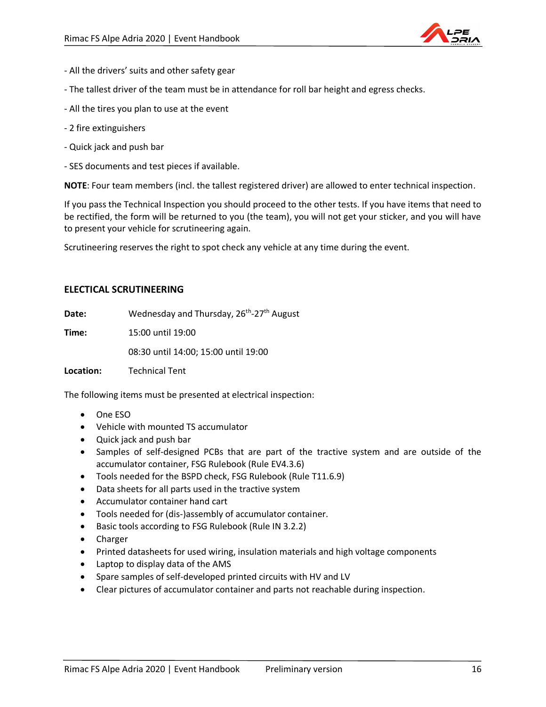

- All the drivers' suits and other safety gear
- The tallest driver of the team must be in attendance for roll bar height and egress checks.
- All the tires you plan to use at the event
- 2 fire extinguishers
- Quick jack and push bar
- SES documents and test pieces if available.

**NOTE**: Four team members (incl. the tallest registered driver) are allowed to enter technical inspection.

If you pass the Technical Inspection you should proceed to the other tests. If you have items that need to be rectified, the form will be returned to you (the team), you will not get your sticker, and you will have to present your vehicle for scrutineering again.

Scrutineering reserves the right to spot check any vehicle at any time during the event.

#### <span id="page-16-0"></span>**ELECTICAL SCRUTINEERING**

**Date:** Wednesday and Thursday, 26<sup>th</sup>-27<sup>th</sup> August

**Time:** 15:00 until 19:00

08:30 until 14:00; 15:00 until 19:00

**Location:** Technical Tent

The following items must be presented at electrical inspection:

- One ESO
- Vehicle with mounted TS accumulator
- Quick jack and push bar
- Samples of self-designed PCBs that are part of the tractive system and are outside of the accumulator container, FSG Rulebook (Rule EV4.3.6)
- Tools needed for the BSPD check, FSG Rulebook (Rule T11.6.9)
- Data sheets for all parts used in the tractive system
- Accumulator container hand cart
- Tools needed for (dis-)assembly of accumulator container.
- Basic tools according to FSG Rulebook (Rule IN 3.2.2)
- Charger
- Printed datasheets for used wiring, insulation materials and high voltage components
- Laptop to display data of the AMS
- Spare samples of self-developed printed circuits with HV and LV
- Clear pictures of accumulator container and parts not reachable during inspection.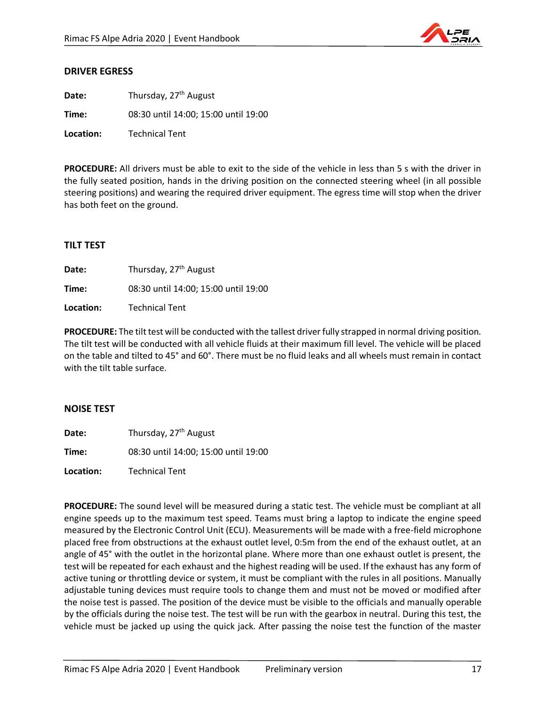

#### <span id="page-17-0"></span>**DRIVER EGRESS**

Date: Thursday, 27<sup>th</sup> August

**Time:** 08:30 until 14:00; 15:00 until 19:00

**Location:** Technical Tent

**PROCEDURE:** All drivers must be able to exit to the side of the vehicle in less than 5 s with the driver in the fully seated position, hands in the driving position on the connected steering wheel (in all possible steering positions) and wearing the required driver equipment. The egress time will stop when the driver has both feet on the ground.

#### <span id="page-17-1"></span>**TILT TEST**

| Date:     | Thursday, 27 <sup>th</sup> August    |
|-----------|--------------------------------------|
| Time:     | 08:30 until 14:00; 15:00 until 19:00 |
| Location: | <b>Technical Tent</b>                |

**PROCEDURE:** The tilt test will be conducted with the tallest driver fully strapped in normal driving position. The tilt test will be conducted with all vehicle fluids at their maximum fill level. The vehicle will be placed on the table and tilted to 45° and 60°. There must be no fluid leaks and all wheels must remain in contact with the tilt table surface.

#### <span id="page-17-2"></span>**NOISE TEST**

Date: Thursday, 27<sup>th</sup> August

**Time:** 08:30 until 14:00; 15:00 until 19:00

**Location:** Technical Tent

**PROCEDURE:** The sound level will be measured during a static test. The vehicle must be compliant at all engine speeds up to the maximum test speed. Teams must bring a laptop to indicate the engine speed measured by the Electronic Control Unit (ECU). Measurements will be made with a free-field microphone placed free from obstructions at the exhaust outlet level, 0:5m from the end of the exhaust outlet, at an angle of 45° with the outlet in the horizontal plane. Where more than one exhaust outlet is present, the test will be repeated for each exhaust and the highest reading will be used. If the exhaust has any form of active tuning or throttling device or system, it must be compliant with the rules in all positions. Manually adjustable tuning devices must require tools to change them and must not be moved or modified after the noise test is passed. The position of the device must be visible to the officials and manually operable by the officials during the noise test. The test will be run with the gearbox in neutral. During this test, the vehicle must be jacked up using the quick jack. After passing the noise test the function of the master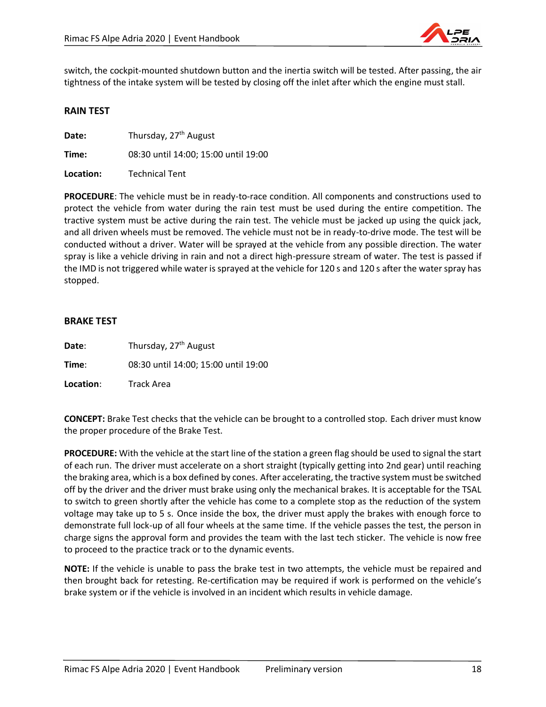

switch, the cockpit-mounted shutdown button and the inertia switch will be tested. After passing, the air tightness of the intake system will be tested by closing off the inlet after which the engine must stall.

#### <span id="page-18-0"></span>**RAIN TEST**

| Date:     | Thursday, 27 <sup>th</sup> August    |
|-----------|--------------------------------------|
| Time:     | 08:30 until 14:00; 15:00 until 19:00 |
| Location: | <b>Technical Tent</b>                |

**PROCEDURE**: The vehicle must be in ready-to-race condition. All components and constructions used to protect the vehicle from water during the rain test must be used during the entire competition. The tractive system must be active during the rain test. The vehicle must be jacked up using the quick jack, and all driven wheels must be removed. The vehicle must not be in ready-to-drive mode. The test will be conducted without a driver. Water will be sprayed at the vehicle from any possible direction. The water spray is like a vehicle driving in rain and not a direct high-pressure stream of water. The test is passed if the IMD is not triggered while water is sprayed at the vehicle for 120 s and 120 s after the water spray has stopped.

#### <span id="page-18-1"></span>**BRAKE TEST**

| Date:     | Thursday, 27 <sup>th</sup> August    |
|-----------|--------------------------------------|
| Time:     | 08:30 until 14:00; 15:00 until 19:00 |
| Location: | Track Area                           |

**CONCEPT:** Brake Test checks that the vehicle can be brought to a controlled stop. Each driver must know the proper procedure of the Brake Test.

**PROCEDURE:** With the vehicle at the start line of the station a green flag should be used to signal the start of each run. The driver must accelerate on a short straight (typically getting into 2nd gear) until reaching the braking area, which is a box defined by cones. After accelerating, the tractive system must be switched off by the driver and the driver must brake using only the mechanical brakes. It is acceptable for the TSAL to switch to green shortly after the vehicle has come to a complete stop as the reduction of the system voltage may take up to 5 s. Once inside the box, the driver must apply the brakes with enough force to demonstrate full lock-up of all four wheels at the same time. If the vehicle passes the test, the person in charge signs the approval form and provides the team with the last tech sticker. The vehicle is now free to proceed to the practice track or to the dynamic events.

**NOTE:** If the vehicle is unable to pass the brake test in two attempts, the vehicle must be repaired and then brought back for retesting. Re-certification may be required if work is performed on the vehicle's brake system or if the vehicle is involved in an incident which results in vehicle damage.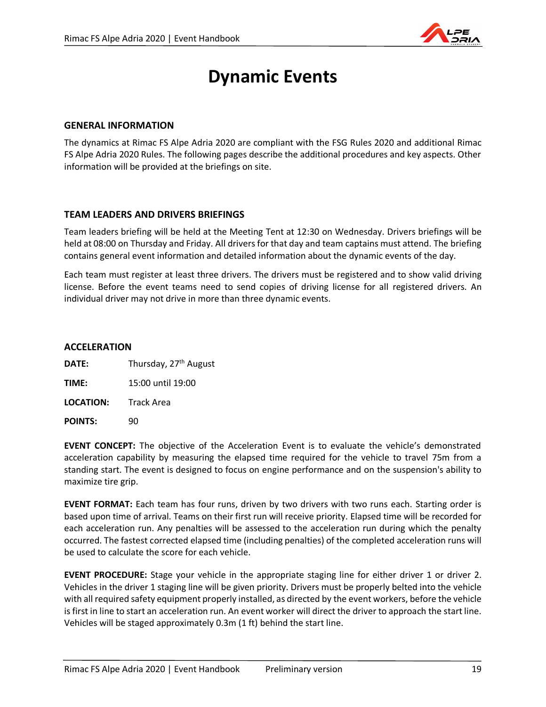

### **Dynamic Events**

#### <span id="page-19-1"></span><span id="page-19-0"></span>**GENERAL INFORMATION**

The dynamics at Rimac FS Alpe Adria 2020 are compliant with the FSG Rules 2020 and additional Rimac FS Alpe Adria 2020 Rules. The following pages describe the additional procedures and key aspects. Other information will be provided at the briefings on site.

#### <span id="page-19-2"></span>**TEAM LEADERS AND DRIVERS BRIEFINGS**

Team leaders briefing will be held at the Meeting Tent at 12:30 on Wednesday. Drivers briefings will be held at 08:00 on Thursday and Friday. All drivers for that day and team captains must attend. The briefing contains general event information and detailed information about the dynamic events of the day.

Each team must register at least three drivers. The drivers must be registered and to show valid driving license. Before the event teams need to send copies of driving license for all registered drivers. An individual driver may not drive in more than three dynamic events.

#### <span id="page-19-3"></span>**ACCELERATION**

| <b>DATE:</b>     | Thursday, 27 <sup>th</sup> August |
|------------------|-----------------------------------|
| TIME:            | 15:00 until 19:00                 |
| <b>LOCATION:</b> | Track Area                        |
| <b>POINTS:</b>   | 90                                |

**EVENT CONCEPT:** The objective of the Acceleration Event is to evaluate the vehicle's demonstrated acceleration capability by measuring the elapsed time required for the vehicle to travel 75m from a standing start. The event is designed to focus on engine performance and on the suspension's ability to maximize tire grip.

**EVENT FORMAT:** Each team has four runs, driven by two drivers with two runs each. Starting order is based upon time of arrival. Teams on their first run will receive priority. Elapsed time will be recorded for each acceleration run. Any penalties will be assessed to the acceleration run during which the penalty occurred. The fastest corrected elapsed time (including penalties) of the completed acceleration runs will be used to calculate the score for each vehicle.

**EVENT PROCEDURE:** Stage your vehicle in the appropriate staging line for either driver 1 or driver 2. Vehicles in the driver 1 staging line will be given priority. Drivers must be properly belted into the vehicle with all required safety equipment properly installed, as directed by the event workers, before the vehicle is first in line to start an acceleration run. An event worker will direct the driver to approach the start line. Vehicles will be staged approximately 0.3m (1 ft) behind the start line.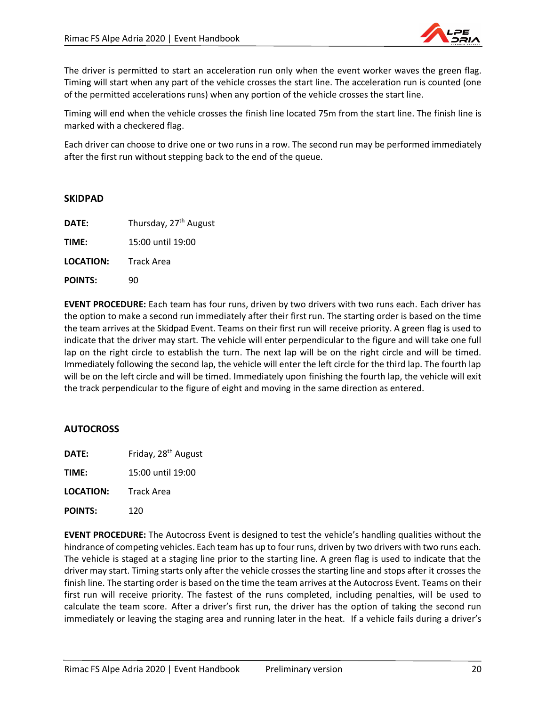

The driver is permitted to start an acceleration run only when the event worker waves the green flag. Timing will start when any part of the vehicle crosses the start line. The acceleration run is counted (one of the permitted accelerations runs) when any portion of the vehicle crosses the start line.

Timing will end when the vehicle crosses the finish line located 75m from the start line. The finish line is marked with a checkered flag.

Each driver can choose to drive one or two runs in a row. The second run may be performed immediately after the first run without stepping back to the end of the queue.

#### <span id="page-20-0"></span>**SKIDPAD**

| <b>DATE:</b> | Thursday, 27 <sup>th</sup> August |  |
|--------------|-----------------------------------|--|
|--------------|-----------------------------------|--|

**TIME:** 15:00 until 19:00

**LOCATION:** Track Area

**POINTS:** 90

**EVENT PROCEDURE:** Each team has four runs, driven by two drivers with two runs each. Each driver has the option to make a second run immediately after their first run. The starting order is based on the time the team arrives at the Skidpad Event. Teams on their first run will receive priority. A green flag is used to indicate that the driver may start. The vehicle will enter perpendicular to the figure and will take one full lap on the right circle to establish the turn. The next lap will be on the right circle and will be timed. Immediately following the second lap, the vehicle will enter the left circle for the third lap. The fourth lap will be on the left circle and will be timed. Immediately upon finishing the fourth lap, the vehicle will exit the track perpendicular to the figure of eight and moving in the same direction as entered.

#### <span id="page-20-1"></span>**AUTOCROSS**

- **DATE:** Friday, 28<sup>th</sup> August
- **TIME:** 15:00 until 19:00
- **LOCATION:** Track Area

**POINTS:** 120

**EVENT PROCEDURE:** The Autocross Event is designed to test the vehicle's handling qualities without the hindrance of competing vehicles. Each team has up to four runs, driven by two drivers with two runs each. The vehicle is staged at a staging line prior to the starting line. A green flag is used to indicate that the driver may start. Timing starts only after the vehicle crosses the starting line and stops after it crosses the finish line. The starting order is based on the time the team arrives at the Autocross Event. Teams on their first run will receive priority. The fastest of the runs completed, including penalties, will be used to calculate the team score. After a driver's first run, the driver has the option of taking the second run immediately or leaving the staging area and running later in the heat. If a vehicle fails during a driver's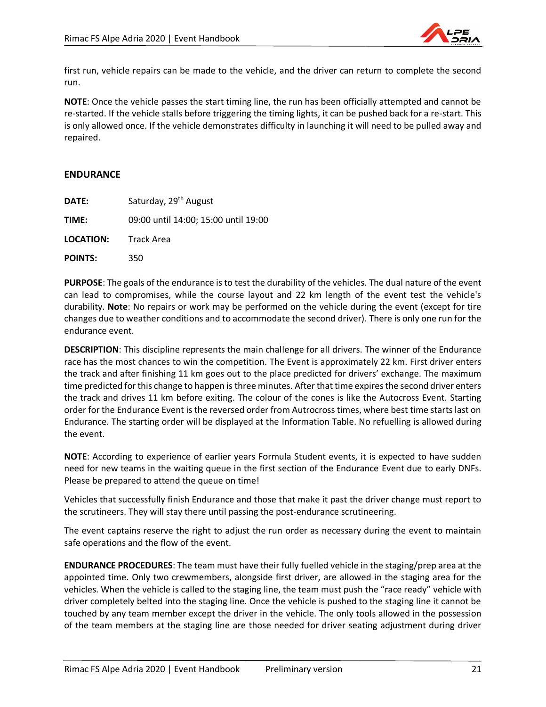

first run, vehicle repairs can be made to the vehicle, and the driver can return to complete the second run.

**NOTE**: Once the vehicle passes the start timing line, the run has been officially attempted and cannot be re-started. If the vehicle stalls before triggering the timing lights, it can be pushed back for a re-start. This is only allowed once. If the vehicle demonstrates difficulty in launching it will need to be pulled away and repaired.

#### <span id="page-21-0"></span>**ENDURANCE**

| DATE:            | Saturday, 29 <sup>th</sup> August    |
|------------------|--------------------------------------|
| TIME:            | 09:00 until 14:00; 15:00 until 19:00 |
| <b>LOCATION:</b> | Track Area                           |
| <b>POINTS:</b>   | 350                                  |

**PURPOSE**: The goals of the endurance is to test the durability of the vehicles. The dual nature of the event can lead to compromises, while the course layout and 22 km length of the event test the vehicle's durability. **Note**: No repairs or work may be performed on the vehicle during the event (except for tire changes due to weather conditions and to accommodate the second driver). There is only one run for the endurance event.

**DESCRIPTION**: This discipline represents the main challenge for all drivers. The winner of the Endurance race has the most chances to win the competition. The Event is approximately 22 km. First driver enters the track and after finishing 11 km goes out to the place predicted for drivers' exchange. The maximum time predicted for this change to happen is three minutes. After that time expires the second driver enters the track and drives 11 km before exiting. The colour of the cones is like the Autocross Event. Starting order for the Endurance Event is the reversed order from Autrocross times, where best time starts last on Endurance. The starting order will be displayed at the Information Table. No refuelling is allowed during the event.

**NOTE**: According to experience of earlier years Formula Student events, it is expected to have sudden need for new teams in the waiting queue in the first section of the Endurance Event due to early DNFs. Please be prepared to attend the queue on time!

Vehicles that successfully finish Endurance and those that make it past the driver change must report to the scrutineers. They will stay there until passing the post-endurance scrutineering.

The event captains reserve the right to adjust the run order as necessary during the event to maintain safe operations and the flow of the event.

**ENDURANCE PROCEDURES**: The team must have their fully fuelled vehicle in the staging/prep area at the appointed time. Only two crewmembers, alongside first driver, are allowed in the staging area for the vehicles. When the vehicle is called to the staging line, the team must push the "race ready" vehicle with driver completely belted into the staging line. Once the vehicle is pushed to the staging line it cannot be touched by any team member except the driver in the vehicle. The only tools allowed in the possession of the team members at the staging line are those needed for driver seating adjustment during driver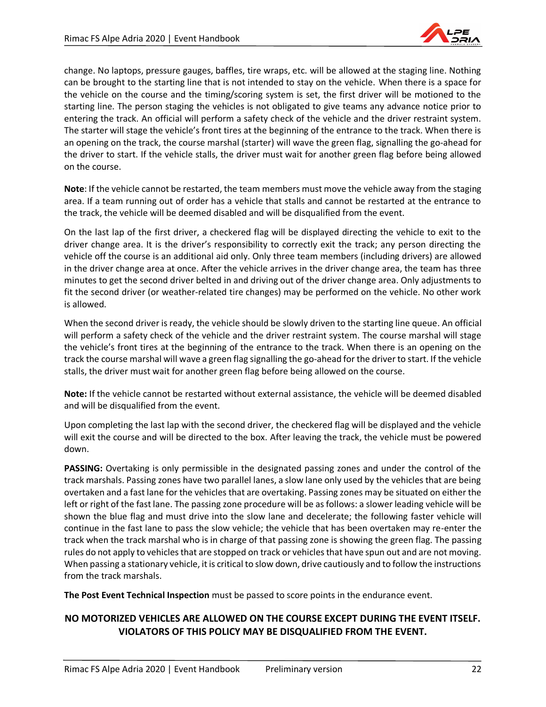

change. No laptops, pressure gauges, baffles, tire wraps, etc. will be allowed at the staging line. Nothing can be brought to the starting line that is not intended to stay on the vehicle. When there is a space for the vehicle on the course and the timing/scoring system is set, the first driver will be motioned to the starting line. The person staging the vehicles is not obligated to give teams any advance notice prior to entering the track. An official will perform a safety check of the vehicle and the driver restraint system. The starter will stage the vehicle's front tires at the beginning of the entrance to the track. When there is an opening on the track, the course marshal (starter) will wave the green flag, signalling the go-ahead for the driver to start. If the vehicle stalls, the driver must wait for another green flag before being allowed on the course.

**Note**: If the vehicle cannot be restarted, the team members must move the vehicle away from the staging area. If a team running out of order has a vehicle that stalls and cannot be restarted at the entrance to the track, the vehicle will be deemed disabled and will be disqualified from the event.

On the last lap of the first driver, a checkered flag will be displayed directing the vehicle to exit to the driver change area. It is the driver's responsibility to correctly exit the track; any person directing the vehicle off the course is an additional aid only. Only three team members (including drivers) are allowed in the driver change area at once. After the vehicle arrives in the driver change area, the team has three minutes to get the second driver belted in and driving out of the driver change area. Only adjustments to fit the second driver (or weather-related tire changes) may be performed on the vehicle. No other work is allowed.

When the second driver is ready, the vehicle should be slowly driven to the starting line queue. An official will perform a safety check of the vehicle and the driver restraint system. The course marshal will stage the vehicle's front tires at the beginning of the entrance to the track. When there is an opening on the track the course marshal will wave a green flag signalling the go-ahead for the driver to start. If the vehicle stalls, the driver must wait for another green flag before being allowed on the course.

**Note:** If the vehicle cannot be restarted without external assistance, the vehicle will be deemed disabled and will be disqualified from the event.

Upon completing the last lap with the second driver, the checkered flag will be displayed and the vehicle will exit the course and will be directed to the box. After leaving the track, the vehicle must be powered down.

**PASSING:** Overtaking is only permissible in the designated passing zones and under the control of the track marshals. Passing zones have two parallel lanes, a slow lane only used by the vehicles that are being overtaken and a fast lane for the vehicles that are overtaking. Passing zones may be situated on either the left or right of the fast lane. The passing zone procedure will be as follows: a slower leading vehicle will be shown the blue flag and must drive into the slow lane and decelerate; the following faster vehicle will continue in the fast lane to pass the slow vehicle; the vehicle that has been overtaken may re-enter the track when the track marshal who is in charge of that passing zone is showing the green flag. The passing rules do not apply to vehicles that are stopped on track or vehicles that have spun out and are not moving. When passing a stationary vehicle, it is critical to slow down, drive cautiously and to follow the instructions from the track marshals.

**The Post Event Technical Inspection** must be passed to score points in the endurance event.

#### **NO MOTORIZED VEHICLES ARE ALLOWED ON THE COURSE EXCEPT DURING THE EVENT ITSELF. VIOLATORS OF THIS POLICY MAY BE DISQUALIFIED FROM THE EVENT.**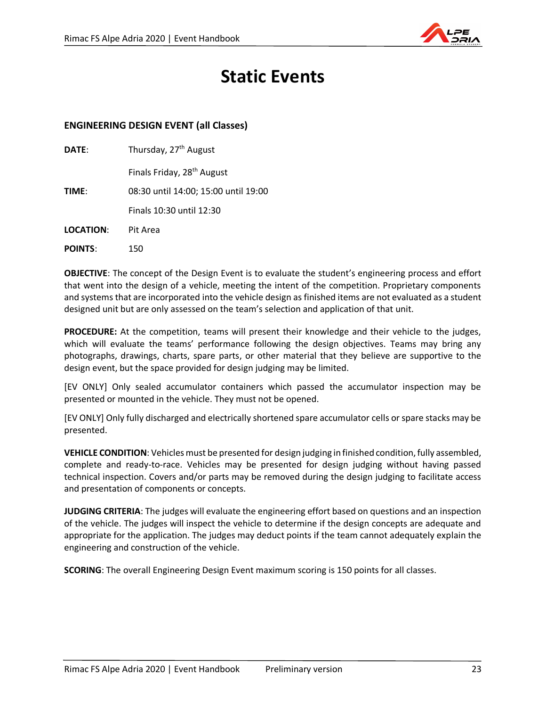

### **Static Events**

#### <span id="page-23-1"></span><span id="page-23-0"></span>**ENGINEERING DESIGN EVENT (all Classes)**

| DATE:            | Thursday, 27 <sup>th</sup> August      |
|------------------|----------------------------------------|
|                  | Finals Friday, 28 <sup>th</sup> August |
| TIME:            | 08:30 until 14:00; 15:00 until 19:00   |
|                  | Finals 10:30 until 12:30               |
| <b>LOCATION:</b> | Pit Area                               |
| <b>POINTS:</b>   | 150                                    |

**OBJECTIVE**: The concept of the Design Event is to evaluate the student's engineering process and effort that went into the design of a vehicle, meeting the intent of the competition. Proprietary components and systems that are incorporated into the vehicle design as finished items are not evaluated as a student designed unit but are only assessed on the team's selection and application of that unit.

**PROCEDURE:** At the competition, teams will present their knowledge and their vehicle to the judges, which will evaluate the teams' performance following the design objectives. Teams may bring any photographs, drawings, charts, spare parts, or other material that they believe are supportive to the design event, but the space provided for design judging may be limited.

[EV ONLY] Only sealed accumulator containers which passed the accumulator inspection may be presented or mounted in the vehicle. They must not be opened.

[EV ONLY] Only fully discharged and electrically shortened spare accumulator cells or spare stacks may be presented.

**VEHICLE CONDITION**: Vehicles must be presented for design judging in finished condition, fully assembled, complete and ready-to-race. Vehicles may be presented for design judging without having passed technical inspection. Covers and/or parts may be removed during the design judging to facilitate access and presentation of components or concepts.

**JUDGING CRITERIA**: The judges will evaluate the engineering effort based on questions and an inspection of the vehicle. The judges will inspect the vehicle to determine if the design concepts are adequate and appropriate for the application. The judges may deduct points if the team cannot adequately explain the engineering and construction of the vehicle.

**SCORING**: The overall Engineering Design Event maximum scoring is 150 points for all classes.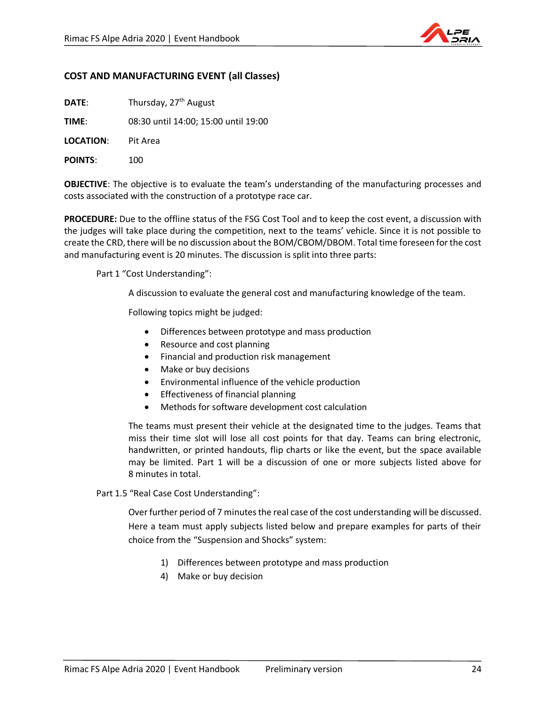

#### <span id="page-24-0"></span>**COST AND MANUFACTURING EVENT (all Classes)**

**DATE:** Thursday, 27<sup>th</sup> August

**TIME**: 08:30 until 14:00; 15:00 until 19:00

**LOCATION**: Pit Area

**POINTS**: 100

**OBJECTIVE**: The objective is to evaluate the team's understanding of the manufacturing processes and costs associated with the construction of a prototype race car.

**PROCEDURE:** Due to the offline status of the FSG Cost Tool and to keep the cost event, a discussion with the judges will take place during the competition, next to the teams' vehicle. Since it is not possible to create the CRD, there will be no discussion about the BOM/CBOM/DBOM. Total time foreseen for the cost and manufacturing event is 20 minutes. The discussion is split into three parts:

Part 1 "Cost Understanding":

A discussion to evaluate the general cost and manufacturing knowledge of the team.

Following topics might be judged:

- Differences between prototype and mass production
- Resource and cost planning
- Financial and production risk management
- Make or buy decisions
- Environmental influence of the vehicle production
- Effectiveness of financial planning
- Methods for software development cost calculation

The teams must present their vehicle at the designated time to the judges. Teams that miss their time slot will lose all cost points for that day. Teams can bring electronic, handwritten, or printed handouts, flip charts or like the event, but the space available may be limited. Part 1 will be a discussion of one or more subjects listed above for 8 minutes in total.

Part 1.5 "Real Case Cost Understanding":

Over further period of 7 minutes the real case of the cost understanding will be discussed. Here a team must apply subjects listed below and prepare examples for parts of their choice from the "Suspension and Shocks" system:

- 1) Differences between prototype and mass production
- 4) Make or buy decision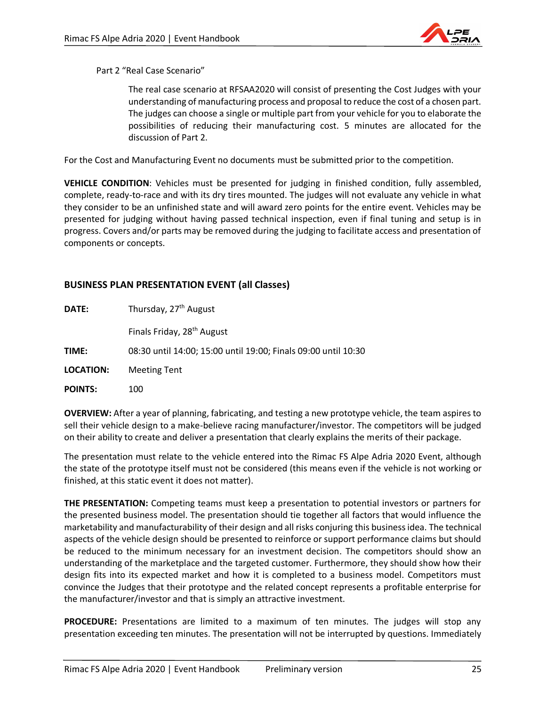

Part 2 "Real Case Scenario"

The real case scenario at RFSAA2020 will consist of presenting the Cost Judges with your understanding of manufacturing process and proposal to reduce the cost of a chosen part. The judges can choose a single or multiple part from your vehicle for you to elaborate the possibilities of reducing their manufacturing cost. 5 minutes are allocated for the discussion of Part 2.

For the Cost and Manufacturing Event no documents must be submitted prior to the competition.

**VEHICLE CONDITION**: Vehicles must be presented for judging in finished condition, fully assembled, complete, ready-to-race and with its dry tires mounted. The judges will not evaluate any vehicle in what they consider to be an unfinished state and will award zero points for the entire event. Vehicles may be presented for judging without having passed technical inspection, even if final tuning and setup is in progress. Covers and/or parts may be removed during the judging to facilitate access and presentation of components or concepts.

#### <span id="page-25-0"></span>**BUSINESS PLAN PRESENTATION EVENT (all Classes)**

| DATE:            | Thursday, 27 <sup>th</sup> August                              |
|------------------|----------------------------------------------------------------|
|                  | Finals Friday, 28 <sup>th</sup> August                         |
| TIME:            | 08:30 until 14:00; 15:00 until 19:00; Finals 09:00 until 10:30 |
| <b>LOCATION:</b> | <b>Meeting Tent</b>                                            |
| <b>POINTS:</b>   | 100                                                            |

**OVERVIEW:** After a year of planning, fabricating, and testing a new prototype vehicle, the team aspires to sell their vehicle design to a make-believe racing manufacturer/investor. The competitors will be judged on their ability to create and deliver a presentation that clearly explains the merits of their package.

The presentation must relate to the vehicle entered into the Rimac FS Alpe Adria 2020 Event, although the state of the prototype itself must not be considered (this means even if the vehicle is not working or finished, at this static event it does not matter).

**THE PRESENTATION:** Competing teams must keep a presentation to potential investors or partners for the presented business model. The presentation should tie together all factors that would influence the marketability and manufacturability of their design and all risks conjuring this business idea. The technical aspects of the vehicle design should be presented to reinforce or support performance claims but should be reduced to the minimum necessary for an investment decision. The competitors should show an understanding of the marketplace and the targeted customer. Furthermore, they should show how their design fits into its expected market and how it is completed to a business model. Competitors must convince the Judges that their prototype and the related concept represents a profitable enterprise for the manufacturer/investor and that is simply an attractive investment.

**PROCEDURE:** Presentations are limited to a maximum of ten minutes. The judges will stop any presentation exceeding ten minutes. The presentation will not be interrupted by questions. Immediately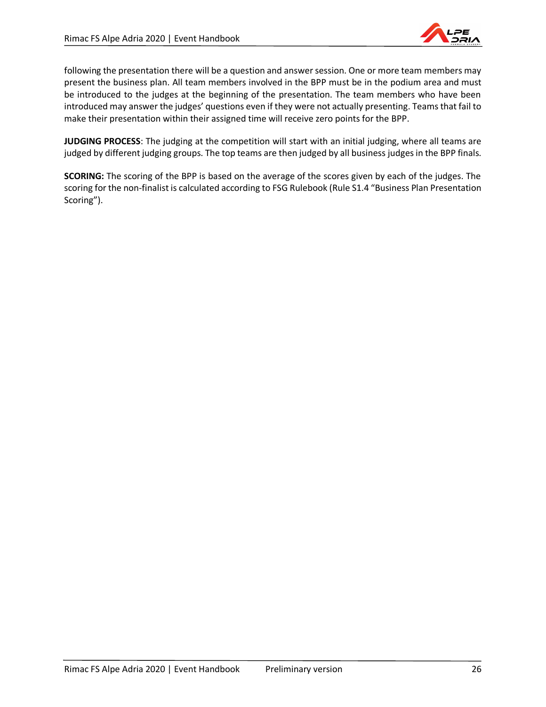

following the presentation there will be a question and answer session. One or more team members may present the business plan. All team members involved in the BPP must be in the podium area and must be introduced to the judges at the beginning of the presentation. The team members who have been introduced may answer the judges' questions even if they were not actually presenting. Teams that fail to make their presentation within their assigned time will receive zero points for the BPP.

**JUDGING PROCESS**: The judging at the competition will start with an initial judging, where all teams are judged by different judging groups. The top teams are then judged by all business judges in the BPP finals.

**SCORING:** The scoring of the BPP is based on the average of the scores given by each of the judges. The scoring for the non-finalist is calculated according to FSG Rulebook (Rule S1.4 "Business Plan Presentation Scoring").